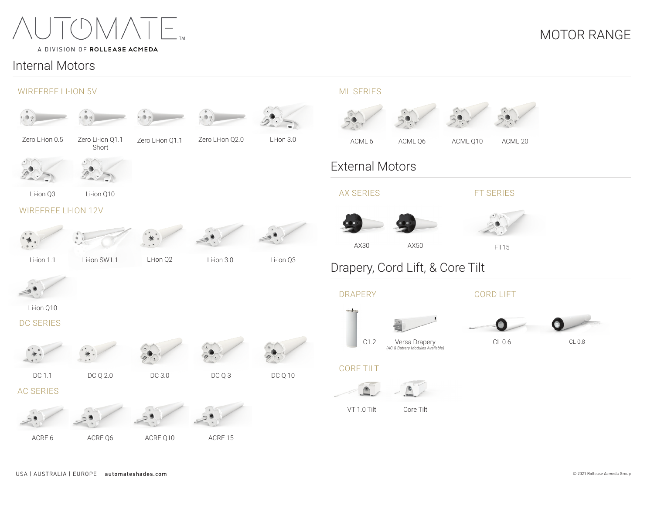

### A DIVISION OF ROLLEASE ACMEDA

## Internal Motors